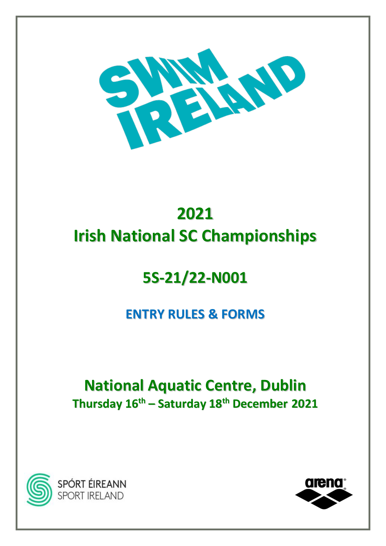

# **2021 Irish National SC Championships**

# **5S-21/22-N001**

## **ENTRY RULES & FORMS**

## **National Aquatic Centre, Dublin Thursday 16 th – Saturday 18 th December 2021**



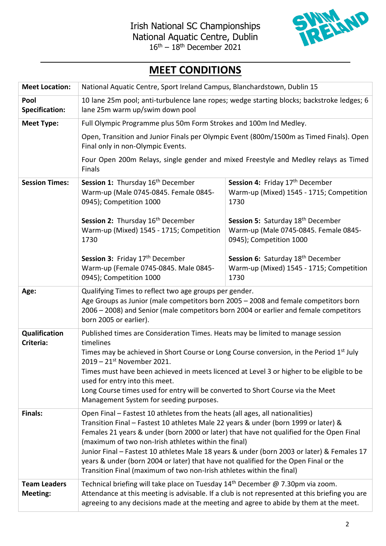

### **MEET CONDITIONS**

| <b>Meet Location:</b>                  | National Aquatic Centre, Sport Ireland Campus, Blanchardstown, Dublin 15                                                                                                                                                                                                                                                                                                                                                                                                                                                                                                                |                                                                                                       |  |
|----------------------------------------|-----------------------------------------------------------------------------------------------------------------------------------------------------------------------------------------------------------------------------------------------------------------------------------------------------------------------------------------------------------------------------------------------------------------------------------------------------------------------------------------------------------------------------------------------------------------------------------------|-------------------------------------------------------------------------------------------------------|--|
| Pool<br><b>Specification:</b>          | 10 lane 25m pool; anti-turbulence lane ropes; wedge starting blocks; backstroke ledges; 6<br>lane 25m warm up/swim down pool                                                                                                                                                                                                                                                                                                                                                                                                                                                            |                                                                                                       |  |
| <b>Meet Type:</b>                      | Full Olympic Programme plus 50m Form Strokes and 100m Ind Medley.                                                                                                                                                                                                                                                                                                                                                                                                                                                                                                                       |                                                                                                       |  |
|                                        | Open, Transition and Junior Finals per Olympic Event (800m/1500m as Timed Finals). Open<br>Final only in non-Olympic Events.                                                                                                                                                                                                                                                                                                                                                                                                                                                            |                                                                                                       |  |
|                                        | Four Open 200m Relays, single gender and mixed Freestyle and Medley relays as Timed<br>Finals                                                                                                                                                                                                                                                                                                                                                                                                                                                                                           |                                                                                                       |  |
| <b>Session Times:</b>                  | <b>Session 1:</b> Thursday 16 <sup>th</sup> December<br>Warm-up (Male 0745-0845. Female 0845-<br>0945); Competition 1000                                                                                                                                                                                                                                                                                                                                                                                                                                                                | Session 4: Friday 17 <sup>th</sup> December<br>Warm-up (Mixed) 1545 - 1715; Competition<br>1730       |  |
|                                        | Session 2: Thursday 16th December<br>Warm-up (Mixed) 1545 - 1715; Competition<br>1730                                                                                                                                                                                                                                                                                                                                                                                                                                                                                                   | Session 5: Saturday 18th December<br>Warm-up (Male 0745-0845. Female 0845-<br>0945); Competition 1000 |  |
|                                        | Session 3: Friday 17th December<br>Warm-up (Female 0745-0845. Male 0845-<br>0945); Competition 1000                                                                                                                                                                                                                                                                                                                                                                                                                                                                                     | Session 6: Saturday 18th December<br>Warm-up (Mixed) 1545 - 1715; Competition<br>1730                 |  |
| Age:                                   | Qualifying Times to reflect two age groups per gender.<br>Age Groups as Junior (male competitors born 2005 - 2008 and female competitors born<br>2006 - 2008) and Senior (male competitors born 2004 or earlier and female competitors<br>born 2005 or earlier).                                                                                                                                                                                                                                                                                                                        |                                                                                                       |  |
| Qualification<br>Criteria:             | Published times are Consideration Times. Heats may be limited to manage session<br>timelines<br>Times may be achieved in Short Course or Long Course conversion, in the Period 1 <sup>st</sup> July<br>$2019 - 21$ <sup>st</sup> November 2021.<br>Times must have been achieved in meets licenced at Level 3 or higher to be eligible to be<br>used for entry into this meet.<br>Long Course times used for entry will be converted to Short Course via the Meet<br>Management System for seeding purposes.                                                                            |                                                                                                       |  |
| <b>Finals:</b>                         | Open Final - Fastest 10 athletes from the heats (all ages, all nationalities)<br>Transition Final - Fastest 10 athletes Male 22 years & under (born 1999 or later) &<br>Females 21 years & under (born 2000 or later) that have not qualified for the Open Final<br>(maximum of two non-Irish athletes within the final)<br>Junior Final - Fastest 10 athletes Male 18 years & under (born 2003 or later) & Females 17<br>years & under (born 2004 or later) that have not qualified for the Open Final or the<br>Transition Final (maximum of two non-Irish athletes within the final) |                                                                                                       |  |
| <b>Team Leaders</b><br><b>Meeting:</b> | Technical briefing will take place on Tuesday 14 <sup>th</sup> December @ 7.30pm via zoom.<br>Attendance at this meeting is advisable. If a club is not represented at this briefing you are<br>agreeing to any decisions made at the meeting and agree to abide by them at the meet.                                                                                                                                                                                                                                                                                                   |                                                                                                       |  |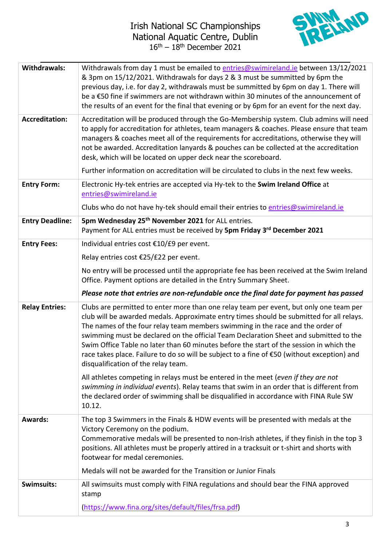

| <b>Withdrawals:</b>    | Withdrawals from day 1 must be emailed to entries@swimireland.ie between 13/12/2021<br>& 3pm on 15/12/2021. Withdrawals for days 2 & 3 must be summitted by 6pm the<br>previous day, i.e. for day 2, withdrawals must be summitted by 6pm on day 1. There will<br>be a €50 fine if swimmers are not withdrawn within 30 minutes of the announcement of<br>the results of an event for the final that evening or by 6pm for an event for the next day.                                                                                                                                          |  |
|------------------------|------------------------------------------------------------------------------------------------------------------------------------------------------------------------------------------------------------------------------------------------------------------------------------------------------------------------------------------------------------------------------------------------------------------------------------------------------------------------------------------------------------------------------------------------------------------------------------------------|--|
| <b>Accreditation:</b>  | Accreditation will be produced through the Go-Membership system. Club admins will need<br>to apply for accreditation for athletes, team managers & coaches. Please ensure that team<br>managers & coaches meet all of the requirements for accreditations, otherwise they will<br>not be awarded. Accreditation lanyards & pouches can be collected at the accreditation<br>desk, which will be located on upper deck near the scoreboard.                                                                                                                                                     |  |
|                        | Further information on accreditation will be circulated to clubs in the next few weeks.                                                                                                                                                                                                                                                                                                                                                                                                                                                                                                        |  |
| <b>Entry Form:</b>     | Electronic Hy-tek entries are accepted via Hy-tek to the Swim Ireland Office at<br>entries@swimireland.ie                                                                                                                                                                                                                                                                                                                                                                                                                                                                                      |  |
|                        | Clubs who do not have hy-tek should email their entries to entries@swimireland.ie                                                                                                                                                                                                                                                                                                                                                                                                                                                                                                              |  |
| <b>Entry Deadline:</b> | 5pm Wednesday 25 <sup>th</sup> November 2021 for ALL entries.<br>Payment for ALL entries must be received by 5pm Friday 3rd December 2021                                                                                                                                                                                                                                                                                                                                                                                                                                                      |  |
| <b>Entry Fees:</b>     | Individual entries cost €10/£9 per event.                                                                                                                                                                                                                                                                                                                                                                                                                                                                                                                                                      |  |
|                        | Relay entries cost €25/£22 per event.                                                                                                                                                                                                                                                                                                                                                                                                                                                                                                                                                          |  |
|                        | No entry will be processed until the appropriate fee has been received at the Swim Ireland<br>Office. Payment options are detailed in the Entry Summary Sheet.                                                                                                                                                                                                                                                                                                                                                                                                                                 |  |
|                        |                                                                                                                                                                                                                                                                                                                                                                                                                                                                                                                                                                                                |  |
|                        | Please note that entries are non-refundable once the final date for payment has passed                                                                                                                                                                                                                                                                                                                                                                                                                                                                                                         |  |
| <b>Relay Entries:</b>  | Clubs are permitted to enter more than one relay team per event, but only one team per<br>club will be awarded medals. Approximate entry times should be submitted for all relays.<br>The names of the four relay team members swimming in the race and the order of<br>swimming must be declared on the official Team Declaration Sheet and submitted to the<br>Swim Office Table no later than 60 minutes before the start of the session in which the<br>race takes place. Failure to do so will be subject to a fine of €50 (without exception) and<br>disqualification of the relay team. |  |
|                        | All athletes competing in relays must be entered in the meet (even if they are not<br>swimming in individual events). Relay teams that swim in an order that is different from<br>the declared order of swimming shall be disqualified in accordance with FINA Rule SW<br>10.12.                                                                                                                                                                                                                                                                                                               |  |
| <b>Awards:</b>         | The top 3 Swimmers in the Finals & HDW events will be presented with medals at the<br>Victory Ceremony on the podium.<br>Commemorative medals will be presented to non-Irish athletes, if they finish in the top 3<br>positions. All athletes must be properly attired in a tracksuit or t-shirt and shorts with<br>footwear for medal ceremonies.                                                                                                                                                                                                                                             |  |
|                        | Medals will not be awarded for the Transition or Junior Finals                                                                                                                                                                                                                                                                                                                                                                                                                                                                                                                                 |  |
| Swimsuits:             | All swimsuits must comply with FINA regulations and should bear the FINA approved<br>stamp<br>(https://www.fina.org/sites/default/files/frsa.pdf)                                                                                                                                                                                                                                                                                                                                                                                                                                              |  |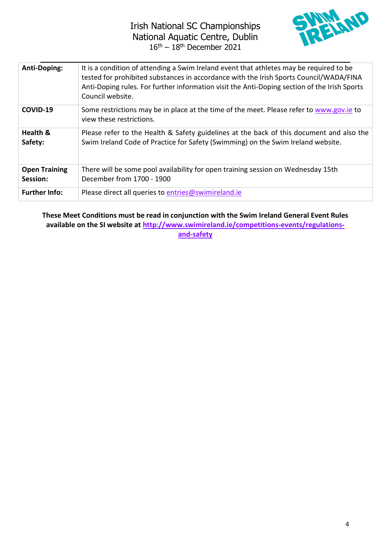

| <b>Anti-Doping:</b>              | It is a condition of attending a Swim Ireland event that athletes may be required to be<br>tested for prohibited substances in accordance with the Irish Sports Council/WADA/FINA<br>Anti-Doping rules. For further information visit the Anti-Doping section of the Irish Sports<br>Council website. |
|----------------------------------|-------------------------------------------------------------------------------------------------------------------------------------------------------------------------------------------------------------------------------------------------------------------------------------------------------|
| COVID-19                         | Some restrictions may be in place at the time of the meet. Please refer to www.gov.ie to<br>view these restrictions.                                                                                                                                                                                  |
| Health &<br>Safety:              | Please refer to the Health & Safety guidelines at the back of this document and also the<br>Swim Ireland Code of Practice for Safety (Swimming) on the Swim Ireland website.                                                                                                                          |
| <b>Open Training</b><br>Session: | There will be some pool availability for open training session on Wednesday 15th<br>December from 1700 - 1900                                                                                                                                                                                         |
| <b>Further Info:</b>             | Please direct all queries to entries@swimireland.ie                                                                                                                                                                                                                                                   |

**These Meet Conditions must be read in conjunction with the Swim Ireland General Event Rules available on the SI website at [http://www.swimireland.ie/competitions-events/regulations](http://www.swimireland.ie/competitions-events/regulations-and-safety)[and-safety](http://www.swimireland.ie/competitions-events/regulations-and-safety)**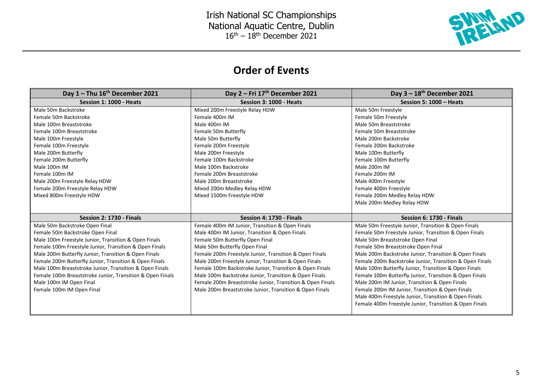

### **Order of Events**

| Day $1 -$ Thu $16th$ December 2021                        | Day 2 – Fri $17th$ December 2021                          | Day $3 - 18$ <sup>th</sup> December 2021                |
|-----------------------------------------------------------|-----------------------------------------------------------|---------------------------------------------------------|
| Session 1: 1000 - Heats                                   | Session 3: 1000 - Heats                                   | Session 5: 1000 - Heats                                 |
| Male 50m Backstroke                                       | Mixed 200m Freestyle Relay HDW                            | Male 50m Freestyle                                      |
| Female 50m Backstroke                                     | Female 400m IM                                            | Female 50m Freestyle                                    |
| Male 100m Breaststroke                                    | Male 400m IM                                              | Male 50m Breaststroke                                   |
| Female 100m Breaststroke                                  | Female 50m Butterfly                                      | Female 50m Breaststroke                                 |
| Male 100m Freestyle                                       | Male 50m Butterfly                                        | Male 200m Backstroke                                    |
| Female 100m Freestyle                                     | Female 200m Freestyle                                     | Female 200m Backstroke                                  |
| Male 200m Butterfly                                       | Male 200m Freestyle                                       | Male 100m Butterfly                                     |
| Female 200m Butterfly                                     | Female 100m Backstroke                                    | Female 100m Butterfly                                   |
| Male 100m IM                                              | Male 100m Backstroke                                      | Male 200m IM                                            |
| Female 100m IM                                            | Female 200m Breaststroke                                  | Female 200m IM                                          |
| Male 200m Freestyle Relay HDW                             | Male 200m Breaststroke                                    | Male 400m Freestyle                                     |
| Female 200m Freestyle Relay HDW                           | Mixed 200m Medley Relay HDW                               | Female 400m Freestyle                                   |
| Mixed 800m Freestyle HDW                                  | Mixed 1500m Freestyle HDW                                 | Female 200m Medley Relay HDW                            |
|                                                           |                                                           | Male 200m Medley Relay HDW                              |
|                                                           |                                                           |                                                         |
| Session 2: 1730 - Finals                                  | Session 4: 1730 - Finals                                  | Session 6: 1730 - Finals                                |
| Male 50m Backstroke Open Final                            | Female 400m IM Junior, Transition & Open Finals           | Male 50m Freestyle Junior, Transition & Open Finals     |
| Female 50m Backstroke Open Final                          | Male 400m IM Junior, Transition & Open Finals             | Female 50m Freestyle Junior, Transition & Open Finals   |
| Male 100m Freestyle Junior, Transition & Open Finals      | Female 50m Butterfly Open Final                           | Male 50m Breaststroke Open Final                        |
| Female 100m Freestyle Junior, Transition & Open Finals    | Male 50m Butterfly Open Final                             | Female 50m Breaststroke Open Final                      |
| Male 200m Butterfly Junior, Transition & Open Finals      | Female 200m Freestyle Junior, Transition & Open Finals    | Male 200m Backstroke Junior, Transition & Open Finals   |
| Female 200m Butterfly Junior, Transition & Open Finals    | Male 200m Freestyle Junior, Transition & Open Finals      | Female 200m Backstroke Junior, Transition & Open Finals |
| Male 100m Breaststroke Junior, Transition & Open Finals   | Female 100m Backstroke Junior, Transition & Open Finals   | Male 100m Butterfly Junior, Transition & Open Finals    |
| Female 100m Breaststroke Junior, Transition & Open Finals | Male 100m Backstroke Junior, Transition & Open Finals     | Female 100m Butterfly Junior, Transition & Open Finals  |
| Male 100m IM Open Final                                   | Female 200m Breaststroke Junior, Transition & Open Finals | Male 200m IM Junior, Transition & Open Finals           |
| Female 100m IM Open Final                                 | Male 200m Breaststroke Junior, Transition & Open Finals   | Female 200m IM Junior, Transition & Open Finals         |
|                                                           |                                                           | Male 400m Freestyle Junior, Transition & Open Finals    |
|                                                           |                                                           | Female 400m Freestyle Junior, Transition & Open Finals  |
|                                                           |                                                           |                                                         |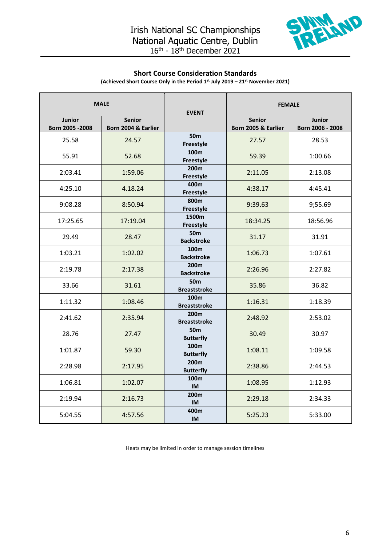

#### **Short Course Consideration Standards**

**(Achieved Short Course Only in the Period 1st July 2019 – 21 st November 2021)**

| <b>MALE</b>                |                                      | <b>EVENT</b>                            | <b>FEMALE</b>                        |                                   |
|----------------------------|--------------------------------------|-----------------------------------------|--------------------------------------|-----------------------------------|
| Junior<br>Born 2005 - 2008 | <b>Senior</b><br>Born 2004 & Earlier |                                         | <b>Senior</b><br>Born 2005 & Earlier | <b>Junior</b><br>Born 2006 - 2008 |
| 25.58                      | 24.57                                | 50 <sub>m</sub><br>Freestyle            | 27.57                                | 28.53                             |
| 55.91                      | 52.68                                | 100m<br>Freestyle                       | 59.39                                | 1:00.66                           |
| 2:03.41                    | 1:59.06                              | 200m<br>Freestyle                       | 2:11.05                              | 2:13.08                           |
| 4:25.10                    | 4.18.24                              | 400m<br>Freestyle                       | 4:38.17                              | 4:45.41                           |
| 9:08.28                    | 8:50.94                              | 800m<br>Freestyle                       | 9:39.63                              | 9;55.69                           |
| 17:25.65                   | 17:19.04                             | 1500m<br>Freestyle                      | 18:34.25                             | 18:56.96                          |
| 29.49                      | 28.47                                | 50 <sub>m</sub><br><b>Backstroke</b>    | 31.17                                | 31.91                             |
| 1:03.21                    | 1:02.02                              | 100 <sub>m</sub><br><b>Backstroke</b>   | 1:06.73                              | 1:07.61                           |
| 2:19.78                    | 2:17.38                              | 200 <sub>m</sub><br><b>Backstroke</b>   | 2:26.96                              | 2:27.82                           |
| 33.66                      | 31.61                                | 50 <sub>m</sub><br><b>Breaststroke</b>  | 35.86                                | 36.82                             |
| 1:11.32                    | 1:08.46                              | 100 <sub>m</sub><br><b>Breaststroke</b> | 1:16.31                              | 1:18.39                           |
| 2:41.62                    | 2:35.94                              | 200m<br><b>Breaststroke</b>             | 2:48.92                              | 2:53.02                           |
| 28.76                      | 27.47                                | 50 <sub>m</sub><br><b>Butterfly</b>     | 30.49                                | 30.97                             |
| 1:01.87                    | 59.30                                | 100m<br><b>Butterfly</b>                | 1:08.11                              | 1:09.58                           |
| 2:28.98                    | 2:17.95                              | 200m<br><b>Butterfly</b>                | 2:38.86                              | 2:44.53                           |
| 1:06.81                    | 1:02.07                              | 100 <sub>m</sub><br><b>IM</b>           | 1:08.95                              | 1:12.93                           |
| 2:19.94                    | 2:16.73                              | 200m<br><b>IM</b>                       | 2:29.18                              | 2:34.33                           |
| 5:04.55                    | 4:57.56                              | 400m<br><b>IM</b>                       | 5:25.23                              | 5:33.00                           |

Heats may be limited in order to manage session timelines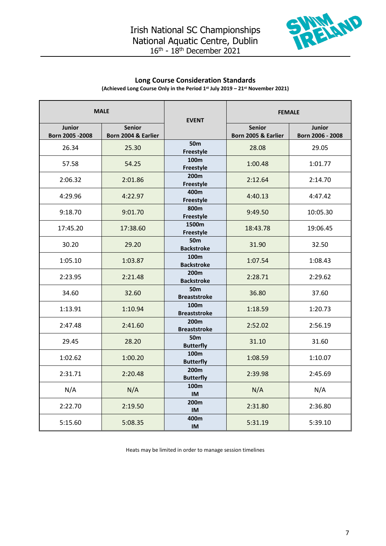

#### **Long Course Consideration Standards**

**(Achieved Long Course Only in the Period 1st July 2019 – 21 st November 2021)**

| <b>MALE</b>                |                                      | <b>EVENT</b>                            | <b>FEMALE</b>                        |                            |
|----------------------------|--------------------------------------|-----------------------------------------|--------------------------------------|----------------------------|
| Junior<br>Born 2005 - 2008 | <b>Senior</b><br>Born 2004 & Earlier |                                         | <b>Senior</b><br>Born 2005 & Earlier | Junior<br>Born 2006 - 2008 |
| 26.34                      | 25.30                                | 50 <sub>m</sub>                         | 28.08                                | 29.05                      |
|                            |                                      | Freestyle                               |                                      |                            |
| 57.58                      | 54.25                                | 100m<br>Freestyle                       | 1:00.48                              | 1:01.77                    |
| 2:06.32                    | 2:01.86                              | 200m<br>Freestyle                       | 2:12.64                              | 2:14.70                    |
| 4:29.96                    | 4:22.97                              | 400m<br>Freestyle                       | 4:40.13                              | 4:47.42                    |
| 9:18.70                    | 9:01.70                              | 800m<br>Freestyle                       | 9:49.50                              | 10:05.30                   |
| 17:45.20                   | 17:38.60                             | 1500m<br>Freestyle                      | 18:43.78                             | 19:06.45                   |
| 30.20                      | 29.20                                | 50 <sub>m</sub><br><b>Backstroke</b>    | 31.90                                | 32.50                      |
| 1:05.10                    | 1:03.87                              | 100 <sub>m</sub><br><b>Backstroke</b>   | 1:07.54                              | 1:08.43                    |
| 2:23.95                    | 2:21.48                              | 200 <sub>m</sub><br><b>Backstroke</b>   | 2:28.71                              | 2:29.62                    |
| 34.60                      | 32.60                                | 50 <sub>m</sub><br><b>Breaststroke</b>  | 36.80                                | 37.60                      |
| 1:13.91                    | 1:10.94                              | 100m<br><b>Breaststroke</b>             | 1:18.59                              | 1:20.73                    |
| 2:47.48                    | 2:41.60                              | 200 <sub>m</sub><br><b>Breaststroke</b> | 2:52.02                              | 2:56.19                    |
| 29.45                      | 28.20                                | 50 <sub>m</sub><br><b>Butterfly</b>     | 31.10                                | 31.60                      |
| 1:02.62                    | 1:00.20                              | 100m<br><b>Butterfly</b>                | 1:08.59                              | 1:10.07                    |
| 2:31.71                    | 2:20.48                              | 200m<br><b>Butterfly</b>                | 2:39.98                              | 2:45.69                    |
| N/A                        | N/A                                  | 100 <sub>m</sub><br><b>IM</b>           | N/A                                  | N/A                        |
| 2:22.70                    | 2:19.50                              | 200m<br><b>IM</b>                       | 2:31.80                              | 2:36.80                    |
| 5:15.60                    | 5:08.35                              | 400m<br><b>IM</b>                       | 5:31.19                              | 5:39.10                    |

Heats may be limited in order to manage session timelines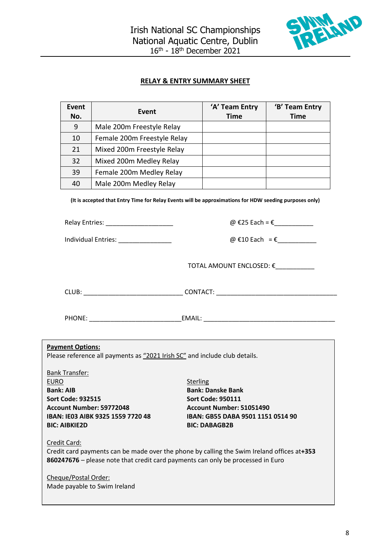

#### **RELAY & ENTRY SUMMARY SHEET**

| Event<br>No. | Event                       | 'A' Team Entry<br><b>Time</b> | 'B' Team Entry<br>Time |
|--------------|-----------------------------|-------------------------------|------------------------|
| 9            | Male 200m Freestyle Relay   |                               |                        |
| 10           | Female 200m Freestyle Relay |                               |                        |
| 21           | Mixed 200m Freestyle Relay  |                               |                        |
| 32           | Mixed 200m Medley Relay     |                               |                        |
| 39           | Female 200m Medley Relay    |                               |                        |
| 40           | Male 200m Medley Relay      |                               |                        |

**(It is accepted that Entry Time for Relay Events will be approximations for HDW seeding purposes only)**

| <b>Relay Entries:</b> |  |
|-----------------------|--|
|                       |  |

Individual Entries:  $\qquad \qquad \textcircled{E10}$  Each = €

 $\omega$  €25 Each = €\_\_\_\_\_\_\_\_\_\_

TOTAL AMOUNT ENCLOSED: €\_\_\_\_\_\_\_\_\_\_\_

CLUB: \_\_\_\_\_\_\_\_\_\_\_\_\_\_\_\_\_\_\_\_\_\_\_\_\_\_\_\_ CONTACT: \_\_\_\_\_\_\_\_\_\_\_\_\_\_\_\_\_\_\_\_\_\_\_\_\_\_\_\_\_\_\_\_\_\_

PHONE: \_\_\_\_\_\_\_\_\_\_\_\_\_\_\_\_\_\_\_\_\_\_\_\_\_\_EMAIL: \_\_\_\_\_\_\_\_\_\_\_\_\_\_\_\_\_\_\_\_\_\_\_\_\_\_\_\_\_\_\_\_\_\_\_\_\_

#### **Payment Options:**

Please reference all payments as "2021 Irish SC" and include club details.

Bank Transfer: EURO Sterling **Bank: AIB Bank: Danske Bank Sort Code: 932515 Sort Code: 950111 Account Number: 59772048 Account Number: 51051490 BIC: AIBKIE2D BIC: DABAGB2B**

**IBAN: IE03 AIBK 9325 1559 7720 48 IBAN: GB55 DABA 9501 1151 0514 90**

#### Credit Card:

Credit card payments can be made over the phone by calling the Swim Ireland offices at**+353 860247676** – please note that credit card payments can only be processed in Euro

Cheque/Postal Order: Made payable to Swim Ireland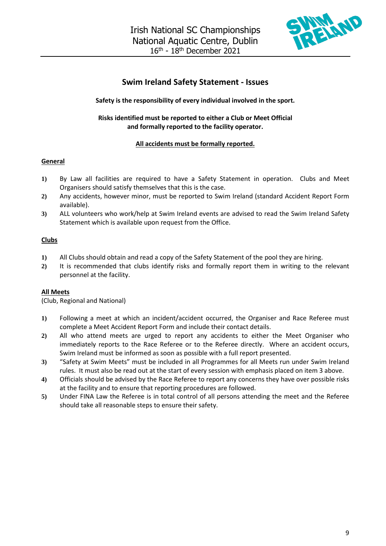

#### **Swim Ireland Safety Statement - Issues**

#### **Safety is the responsibility of every individual involved in the sport.**

#### **Risks identified must be reported to either a Club or Meet Official and formally reported to the facility operator.**

#### **All accidents must be formally reported.**

#### **General**

- **1)** By Law all facilities are required to have a Safety Statement in operation. Clubs and Meet Organisers should satisfy themselves that this is the case.
- **2)** Any accidents, however minor, must be reported to Swim Ireland (standard Accident Report Form available).
- **3)** ALL volunteers who work/help at Swim Ireland events are advised to read the Swim Ireland Safety Statement which is available upon request from the Office.

#### **Clubs**

- **1)** All Clubs should obtain and read a copy of the Safety Statement of the pool they are hiring.
- **2)** It is recommended that clubs identify risks and formally report them in writing to the relevant personnel at the facility.

#### **All Meets**

(Club, Regional and National)

- **1)** Following a meet at which an incident/accident occurred, the Organiser and Race Referee must complete a Meet Accident Report Form and include their contact details.
- **2)** All who attend meets are urged to report any accidents to either the Meet Organiser who immediately reports to the Race Referee or to the Referee directly. Where an accident occurs, Swim Ireland must be informed as soon as possible with a full report presented.
- **3)** "Safety at Swim Meets" must be included in all Programmes for all Meets run under Swim Ireland rules. It must also be read out at the start of every session with emphasis placed on item 3 above.
- **4)** Officials should be advised by the Race Referee to report any concerns they have over possible risks at the facility and to ensure that reporting procedures are followed.
- **5)** Under FINA Law the Referee is in total control of all persons attending the meet and the Referee should take all reasonable steps to ensure their safety.